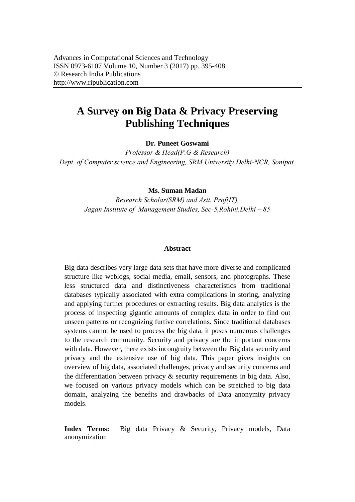# **A Survey on Big Data & Privacy Preserving Publishing Techniques**

#### **Dr. Puneet Goswami**

*Professor & Head(P.G & Research) Dept. of Computer science and Engineering, SRM University Delhi-NCR, Sonipat.* 

#### **Ms. Suman Madan**

*Research Scholar(SRM) and Astt. Prof(IT), Jagan Institute of Management Studies, Sec-5,Rohini,Delhi – 85*

#### **Abstract**

Big data describes very large data sets that have more diverse and complicated structure like weblogs, social media, email, sensors, and photographs. These less structured data and distinctiveness characteristics from traditional databases typically associated with extra complications in storing, analyzing and applying further procedures or extracting results. Big data analytics is the process of inspecting gigantic amounts of complex data in order to find out unseen patterns or recognizing furtive correlations. Since traditional databases systems cannot be used to process the big data, it poses numerous challenges to the research community. Security and privacy are the important concerns with data. However, there exists incongruity between the Big data security and privacy and the extensive use of big data. This paper gives insights on overview of big data, associated challenges, privacy and security concerns and the differentiation between privacy & security requirements in big data. Also, we focused on various privacy models which can be stretched to big data domain, analyzing the benefits and drawbacks of Data anonymity privacy models.

**Index Terms:** Big data Privacy & Security, Privacy models, Data anonymization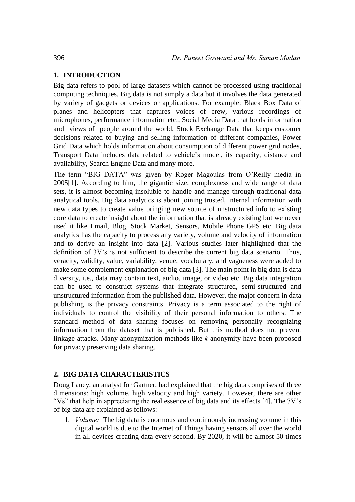### **1. INTRODUCTION**

Big data refers to pool of large datasets which cannot be processed using traditional computing techniques. Big data is not simply a data but it involves the data generated by variety of gadgets or devices or applications. For example: Black Box Data of planes and helicopters that captures voices of crew, various recordings of microphones, performance information etc., Social Media Data that holds information and views of people around the world, Stock Exchange Data that keeps customer decisions related to buying and selling information of different companies, Power Grid Data which holds information about consumption of different power grid nodes, Transport Data includes data related to vehicle's model, its capacity, distance and availability, Search Engine Data and many more.

The term "BIG DATA" was given by Roger Magoulas from O'Reilly media in 2005[1]. According to him, the gigantic size, complexness and wide range of data sets, it is almost becoming insoluble to handle and manage through traditional data analytical tools. Big data analytics is about joining trusted, internal information with new data types to create value bringing new source of unstructured info to existing core data to create insight about the information that is already existing but we never used it like Email, Blog, Stock Market, Sensors, Mobile Phone GPS etc. Big data analytics has the capacity to process any variety, volume and velocity of information and to derive an insight into data [2]. Various studies later highlighted that the definition of 3V's is not sufficient to describe the current big data scenario. Thus, veracity, validity, value, variability, venue, vocabulary, and vagueness were added to make some complement explanation of big data [3]. The main point in big data is data diversity, i.e., data may contain text, audio, image, or video etc. Big data integration can be used to construct systems that integrate structured, semi-structured and unstructured information from the published data. However, the major concern in data publishing is the privacy constraints. Privacy is a term associated to the right of individuals to control the visibility of their personal information to others. The standard method of data sharing focuses on removing personally recognizing information from the dataset that is published. But this method does not prevent linkage attacks. Many anonymization methods like *k*-anonymity have been proposed for privacy preserving data sharing.

# **2. BIG DATA CHARACTERISTICS**

Doug Laney, an analyst for Gartner, had explained that the big data comprises of three dimensions: high volume, high velocity and high variety. However, there are other "Vs" that help in appreciating the real essence of big data and its effects [4]. The 7V's of big data are explained as follows:

1. *Volume:* The big data is enormous and continuously increasing volume in this digital world is due to the Internet of Things having sensors all over the world in all devices creating data every second. By 2020, it will be almost 50 times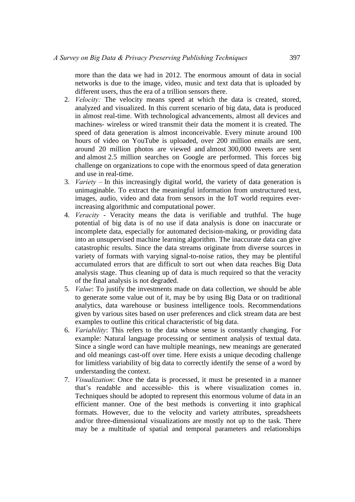more than the data we had in 2012. The enormous amount of data in social networks is due to the image, video, music and text data that is uploaded by different users, thus the era of a trillion sensors there.

- 2. *Velocity:* The velocity means speed at which the data is created, stored, analyzed and visualized. In this current scenario of big data, data is produced in almost real-time. With technological advancements, almost all devices and machines- wireless or wired transmit their data the moment it is created. The speed of data generation is almost inconceivable. Every minute around 100 hours of video on YouTube is uploaded, over 200 million emails are sent, around 20 million photos are viewed and almost 300,000 tweets are sent and almost 2.5 million searches on Google are performed. This forces big challenge on organizations to cope with the enormous speed of data generation and use in real-time.
- 3. *Variety*  In this increasingly digital world, the variety of data generation is unimaginable. To extract the meaningful information from unstructured text, images, audio, video and data from sensors in the IoT world requires everincreasing algorithmic and computational power.
- 4. *Veracity* Veracity means the data is verifiable and truthful. The huge potential of big data is of no use if data analysis is done on inaccurate or incomplete data, especially for automated decision-making, or providing data into an unsupervised machine learning algorithm. The inaccurate data can give catastrophic results. Since the data streams originate from diverse sources in variety of formats with varying signal-to-noise ratios, they may be plentiful accumulated errors that are difficult to sort out when data reaches Big Data analysis stage. Thus cleaning up of data is much required so that the veracity of the final analysis is not degraded.
- 5. *Value*: To justify the investments made on data collection, we should be able to generate some value out of it, may be by using Big Data or on traditional analytics, data warehouse or business intelligence tools. Recommendations given by various sites based on user preferences and click stream data are best examples to outline this critical characteristic of big data.
- 6. *Variability*: This refers to the data whose sense is constantly changing. For example: Natural language processing or sentiment analysis of textual data. Since a single word can have multiple meanings, new meanings are generated and old meanings cast-off over time. Here exists a unique decoding challenge for limitless variability of big data to correctly identify the sense of a word by understanding the context.
- 7. *Visualization*: Once the data is processed, it must be presented in a manner that's readable and accessible- this is where visualization comes in. Techniques should be adopted to represent this enormous volume of data in an efficient manner. One of the best methods is converting it into graphical formats. However, due to the velocity and variety attributes, spreadsheets and/or three-dimensional visualizations are mostly not up to the task. There may be a multitude of spatial and temporal parameters and relationships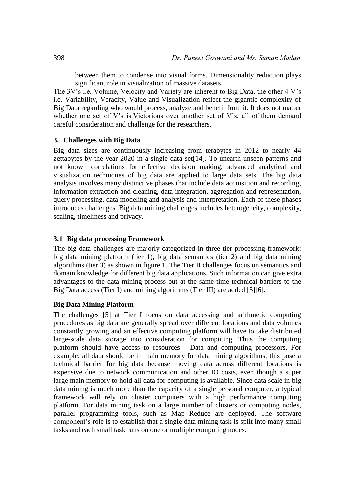between them to condense into visual forms. Dimensionality reduction plays significant role in visualization of massive datasets.

The 3V's i.e. Volume, Velocity and Variety are inherent to Big Data, the other 4 V's i.e. Variability, Veracity, Value and Visualization reflect the gigantic complexity of Big Data regarding who would process, analyze and benefit from it. It does not matter whether one set of V's is Victorious over another set of V's, all of them demand careful consideration and challenge for the researchers.

#### **3. Challenges with Big Data**

Big data sizes are continuously increasing from terabytes in 2012 to nearly 44 zettabytes by the year 2020 in a single data set[14]. To unearth unseen patterns and not known correlations for effective decision making, advanced analytical and visualization techniques of big data are applied to large data sets. The big data analysis involves many distinctive phases that include data acquisition and recording, information extraction and cleaning, data integration, aggregation and representation, query processing, data modeling and analysis and interpretation. Each of these phases introduces challenges. Big data mining challenges includes heterogeneity, complexity, scaling, timeliness and privacy.

#### **3.1 Big data processing Framework**

The big data challenges are majorly categorized in three tier processing framework: big data mining platform (tier 1), big data semantics (tier 2) and big data mining algorithms (tier 3) as shown in figure 1. The Tier II challenges focus on semantics and domain knowledge for different big data applications. Such information can give extra advantages to the data mining process but at the same time technical barriers to the Big Data access (Tier I) and mining algorithms (Tier III) are added [5][6].

#### **Big Data Mining Platform**

The challenges [5] at Tier I focus on data accessing and arithmetic computing procedures as big data are generally spread over different locations and data volumes constantly growing and an effective computing platform will have to take distributed large-scale data storage into consideration for computing. Thus the computing platform should have access to resources - Data and computing processors. For example, all data should be in main memory for data mining algorithms, this pose a technical barrier for big data because moving data across different locations is expensive due to network communication and other IO costs, even though a super large main memory to hold all data for computing is available. Since data scale in big data mining is much more than the capacity of a single personal computer, a typical framework will rely on cluster computers with a high performance computing platform. For data mining task on a large number of clusters or computing nodes, parallel programming tools, such as Map Reduce are deployed. The software component's role is to establish that a single data mining task is split into many small tasks and each small task runs on one or multiple computing nodes.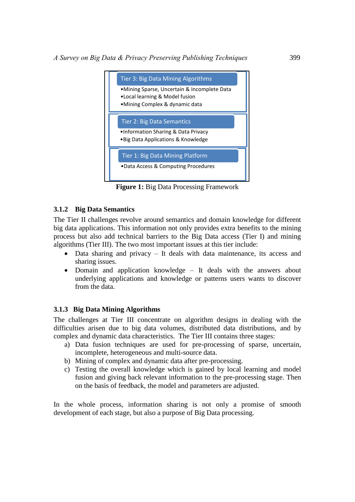

**Figure 1:** Big Data Processing Framework

# **3.1.2 Big Data Semantics**

The Tier II challenges revolve around semantics and domain knowledge for different big data applications. This information not only provides extra benefits to the mining process but also add technical barriers to the Big Data access (Tier I) and mining algorithms (Tier III). The two most important issues at this tier include:

- Data sharing and privacy It deals with data maintenance, its access and sharing issues.
- Domain and application knowledge It deals with the answers about underlying applications and knowledge or patterns users wants to discover from the data.

# **3.1.3 Big Data Mining Algorithms**

The challenges at Tier III concentrate on algorithm designs in dealing with the difficulties arisen due to big data volumes, distributed data distributions, and by complex and dynamic data characteristics. The Tier III contains three stages:

- a) Data fusion techniques are used for pre-processing of sparse, uncertain, incomplete, heterogeneous and multi-source data.
- b) Mining of complex and dynamic data after pre-processing.
- c) Testing the overall knowledge which is gained by local learning and model fusion and giving back relevant information to the pre-processing stage. Then on the basis of feedback, the model and parameters are adjusted.

In the whole process, information sharing is not only a promise of smooth development of each stage, but also a purpose of Big Data processing.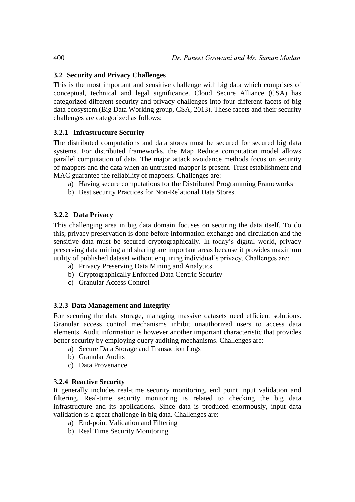# **3.2 Security and Privacy Challenges**

This is the most important and sensitive challenge with big data which comprises of conceptual, technical and legal significance. Cloud Secure Alliance (CSA) has categorized different security and privacy challenges into four different facets of big data ecosystem.(Big Data Working group, CSA, 2013). These facets and their security challenges are categorized as follows:

# **3.2.1 Infrastructure Security**

The distributed computations and data stores must be secured for secured big data systems. For distributed frameworks, the Map Reduce computation model allows parallel computation of data. The major attack avoidance methods focus on security of mappers and the data when an untrusted mapper is present. Trust establishment and MAC guarantee the reliability of mappers. Challenges are:

- a) Having secure computations for the Distributed Programming Frameworks
- b) Best security Practices for Non-Relational Data Stores.

# **3.2.2 Data Privacy**

This challenging area in big data domain focuses on securing the data itself. To do this, privacy preservation is done before information exchange and circulation and the sensitive data must be secured cryptographically. In today's digital world, privacy preserving data mining and sharing are important areas because it provides maximum utility of published dataset without enquiring individual's privacy. Challenges are:

- a) Privacy Preserving Data Mining and Analytics
- b) Cryptographically Enforced Data Centric Security
- c) Granular Access Control

#### **3.2.3 Data Management and Integrity**

For securing the data storage, managing massive datasets need efficient solutions. Granular access control mechanisms inhibit unauthorized users to access data elements. Audit information is however another important characteristic that provides better security by employing query auditing mechanisms. Challenges are:

- a) Secure Data Storage and Transaction Logs
- b) Granular Audits
- c) Data Provenance

#### 3**.2.4 Reactive Security**

It generally includes real-time security monitoring, end point input validation and filtering. Real-time security monitoring is related to checking the big data infrastructure and its applications. Since data is produced enormously, input data validation is a great challenge in big data. Challenges are:

- a) End-point Validation and Filtering
- b) Real Time Security Monitoring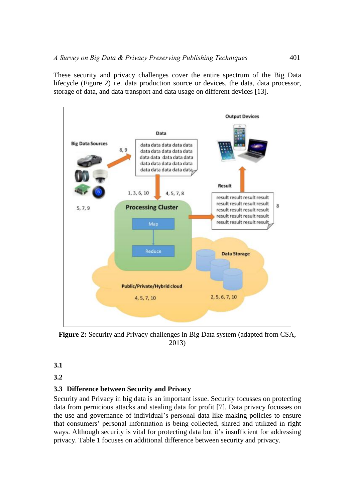These security and privacy challenges cover the entire spectrum of the Big Data lifecycle (Figure 2) i.e. data production source or devices, the data, data processor, storage of data, and data transport and data usage on different devices [13].



**Figure 2:** Security and Privacy challenges in Big Data system (adapted from CSA, 2013)

**3.1**

**3.2**

# **3.3 Difference between Security and Privacy**

Security and Privacy in big data is an important issue. Security focusses on protecting data from pernicious attacks and stealing data for profit [7]. Data privacy focusses on the use and governance of individual's personal data like making policies to ensure that consumers' personal information is being collected, shared and utilized in right ways. Although security is vital for protecting data but it's insufficient for addressing privacy. Table 1 focuses on additional difference between security and privacy.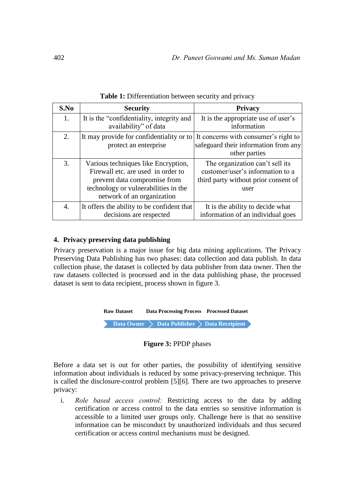| S.No | <b>Security</b>                                                                                                                                                                 | <b>Privacy</b>                                                                                                      |
|------|---------------------------------------------------------------------------------------------------------------------------------------------------------------------------------|---------------------------------------------------------------------------------------------------------------------|
| 1.   | It is the "confidentiality, integrity and<br>availability" of data                                                                                                              | It is the appropriate use of user's<br>information                                                                  |
| 2.   | It may provide for confidentiality or to<br>protect an enterprise                                                                                                               | It concerns with consumer's right to<br>safeguard their information from any<br>other parties                       |
| 3.   | Various techniques like Encryption,<br>Firewall etc. are used in order to<br>prevent data compromise from<br>technology or vulnerabilities in the<br>network of an organization | The organization can't sell its<br>customer/user's information to a<br>third party without prior consent of<br>user |
| 4.   | It offers the ability to be confident that<br>decisions are respected                                                                                                           | It is the ability to decide what<br>information of an individual goes                                               |

**Table 1:** Differentiation between security and privacy

# **4. Privacy preserving data publishing**

Privacy preservation is a major issue for big data mining applications. The Privacy Preserving Data Publishing has two phases: data collection and data publish. In data collection phase, the dataset is collected by data publisher from data owner. Then the raw datasets collected is processed and in the data publishing phase, the processed dataset is sent to data recipient, process shown in figure 3.

| <b>Raw Dataset</b> |  |  | <b>Data Processing Process Processed Dataset</b> |                                               |  |
|--------------------|--|--|--------------------------------------------------|-----------------------------------------------|--|
|                    |  |  |                                                  | Data Owner > Data Publisher > Data Receipient |  |

#### **Figure 3:** PPDP phases

Before a data set is out for other parties, the possibility of identifying sensitive information about individuals is reduced by some privacy-preserving technique. This is called the disclosure-control problem [5][6]. There are two approaches to preserve privacy:

i. *Role based access control:* Restricting access to the data by adding certification or access control to the data entries so sensitive information is accessible to a limited user groups only. Challenge here is that no sensitive information can be misconduct by unauthorized individuals and thus secured certification or access control mechanisms must be designed.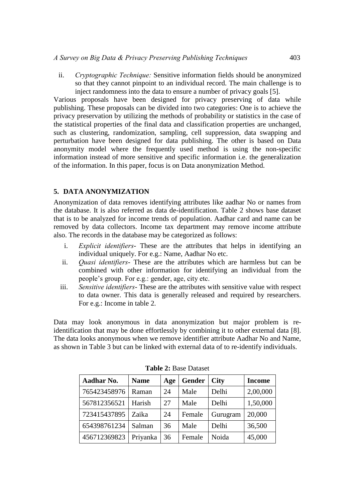ii. *Cryptographic Technique:* Sensitive information fields should be anonymized so that they cannot pinpoint to an individual record. The main challenge is to inject randomness into the data to ensure a number of privacy goals [5].

Various proposals have been designed for privacy preserving of data while publishing. These proposals can be divided into two categories: One is to achieve the privacy preservation by utilizing the methods of probability or statistics in the case of the statistical properties of the final data and classification properties are unchanged, such as clustering, randomization, sampling, cell suppression, data swapping and perturbation have been designed for data publishing. The other is based on Data anonymity model where the frequently used method is using the non-specific information instead of more sensitive and specific information i.e. the generalization of the information. In this paper, focus is on Data anonymization Method.

# **5. DATA ANONYMIZATION**

Anonymization of data removes identifying attributes like aadhar No or names from the database. It is also referred as data de-identification. Table 2 shows base dataset that is to be analyzed for income trends of population. Aadhar card and name can be removed by data collectors. Income tax department may remove income attribute also. The records in the database may be categorized as follows:

- i. *Explicit identifiers* These are the attributes that helps in identifying an individual uniquely. For e.g.: Name, Aadhar No etc.
- ii. *Quasi identifiers* These are the attributes which are harmless but can be combined with other information for identifying an individual from the people's group. For e.g.: gender, age, city etc.
- iii. *Sensitive identifiers* These are the attributes with sensitive value with respect to data owner. This data is generally released and required by researchers. For e.g.: Income in table 2.

Data may look anonymous in data anonymization but major problem is reidentification that may be done effortlessly by combining it to other external data [8]. The data looks anonymous when we remove identifier attribute Aadhar No and Name, as shown in Table 3 but can be linked with external data of to re-identify individuals.

| Aadhar No.   | <b>Name</b> | Age | <b>Gender</b> | <b>City</b> | <b>Income</b> |
|--------------|-------------|-----|---------------|-------------|---------------|
| 765423458976 | Raman       | 24  | Male          | Delhi       | 2,00,000      |
| 567812356521 | Harish      | 27  | Male          | Delhi       | 1,50,000      |
| 723415437895 | Zaika       | 24  | Female        | Gurugram    | 20,000        |
| 654398761234 | Salman      | 36  | Male          | Delhi       | 36,500        |
| 456712369823 | Priyanka    | 36  | Female        | Noida       | 45,000        |

**Table 2:** Base Dataset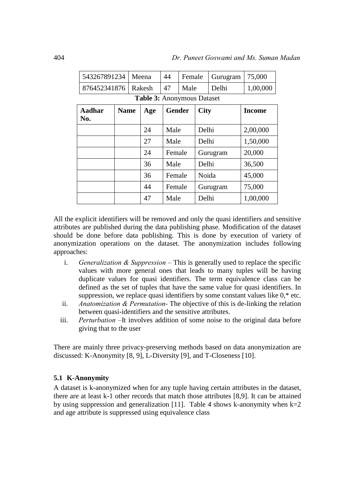| 543267891234                 |                                   |        | Meena | 44            | Female |             | Gurugram | 75,000   |  |  |  |
|------------------------------|-----------------------------------|--------|-------|---------------|--------|-------------|----------|----------|--|--|--|
| 876452341876                 |                                   | Rakesh |       | 47            | Male   |             | Delhi    | 1,00,000 |  |  |  |
|                              | <b>Table 3: Anonymous Dataset</b> |        |       |               |        |             |          |          |  |  |  |
| Aadhar<br><b>Name</b><br>No. |                                   |        | Age   | <b>Gender</b> |        | <b>City</b> |          | Income   |  |  |  |
|                              |                                   |        | 24    | Male          |        | Delhi       |          | 2,00,000 |  |  |  |
|                              |                                   |        | 27    | Male          |        | Delhi       |          | 1,50,000 |  |  |  |
|                              |                                   |        | 24    | Female        |        |             | Gurugram | 20,000   |  |  |  |
|                              |                                   |        | 36    | Male          |        | Delhi       |          | 36,500   |  |  |  |
|                              |                                   |        | 36    | Female        |        | Noida       |          | 45,000   |  |  |  |
|                              |                                   |        | 44    |               | Female |             | Gurugram | 75,000   |  |  |  |
|                              |                                   |        | 47    | Male          |        | Delhi       |          | 1,00,000 |  |  |  |

All the explicit identifiers will be removed and only the quasi identifiers and sensitive attributes are published during the data publishing phase. Modification of the dataset should be done before data publishing. This is done by execution of variety of anonymization operations on the dataset. The anonymization includes following approaches:

- i. *Generalization & Suppression* This is generally used to replace the specific values with more general ones that leads to many tuples will be having duplicate values for quasi identifiers. The term equivalence class can be defined as the set of tuples that have the same value for quasi identifiers. In suppression, we replace quasi identifiers by some constant values like 0,\* etc.
- ii. *Anatomization & Permutation* The objective of this is de-linking the relation between quasi-identifiers and the sensitive attributes.
- iii. *Perturbation* –It involves addition of some noise to the original data before giving that to the user

There are mainly three privacy-preserving methods based on data anonymization are discussed: K-Anonymity [8, 9], L-Diversity [9], and T-Closeness [10].

# **5.1 K-Anonymity**

A dataset is k-anonymized when for any tuple having certain attributes in the dataset, there are at least k-1 other records that match those attributes [8,9]. It can be attained by using suppression and generalization [11]. Table 4 shows k-anonymity when  $k=2$ and age attribute is suppressed using equivalence class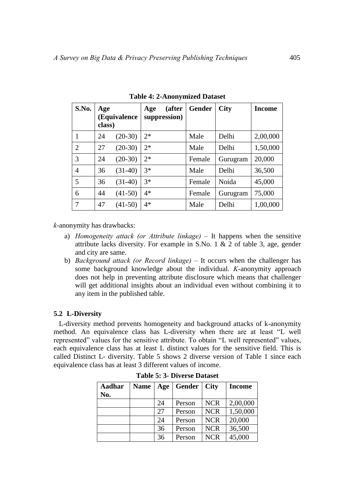| S.No.          | Age<br>class) | (Equivalence | Age  | (after<br>suppression) | <b>Gender</b> | <b>City</b> | <b>Income</b> |
|----------------|---------------|--------------|------|------------------------|---------------|-------------|---------------|
| 1              | 24            | $(20-30)$    | $2*$ |                        | Male          | Delhi       | 2,00,000      |
| $\overline{2}$ | 27            | $(20-30)$    | $2*$ |                        | Male          | Delhi       | 1,50,000      |
| 3              | 24            | $(20-30)$    | $2*$ |                        | Female        | Gurugram    | 20,000        |
| 4              | 36            | $(31-40)$    | $3*$ |                        | Male          | Delhi       | 36,500        |
| 5              | 36            | $(31-40)$    | $3*$ |                        | Female        | Noida       | 45,000        |
| 6              | 44            | $(41-50)$    | $4*$ |                        | Female        | Gurugram    | 75,000        |
| 7              | 47            | $(41-50)$    | $4*$ |                        | Male          | Delhi       | 1,00,000      |

**Table 4: 2-Anonymized Dataset** 

*k*-anonymity has drawbacks:

- a) *Homogeneity attack (or Attribute linkage)* It happens when the sensitive attribute lacks diversity. For example in S.No. 1 & 2 of table 3, age, gender and city are same.
- b) *Background attack (or Record linkage)* It occurs when the challenger has some background knowledge about the individual. *K*-anonymity approach does not help in preventing attribute disclosure which means that challenger will get additional insights about an individual even without combining it to any item in the published table.

# **5.2 L-Diversity**

L-diversity method prevents homogeneity and background attacks of k-anonymity method. An equivalence class has L-diversity when there are at least "L well represented" values for the sensitive attribute. To obtain "L well represented" values, each equivalence class has at least L distinct values for the sensitive field. This is called Distinct L- diversity. Table 5 shows 2 diverse version of Table 1 since each equivalence class has at least 3 different values of income.

| Aadhar<br>No. | <b>Name</b> | Age | Gender | <b>City</b> | <b>Income</b> |
|---------------|-------------|-----|--------|-------------|---------------|
|               |             | 24  | Person | <b>NCR</b>  | 2,00,000      |
|               |             | 27  | Person | <b>NCR</b>  | 1,50,000      |
|               |             | 24  | Person | <b>NCR</b>  | 20,000        |
|               |             | 36  | Person | <b>NCR</b>  | 36,500        |
|               |             | 36  | Person | <b>NCR</b>  | 45,000        |

**Table 5: 3- Diverse Dataset**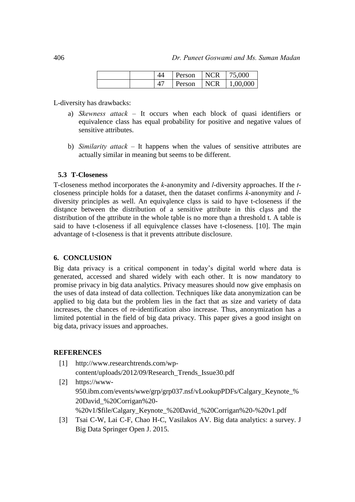|  | Person | <b>NCR</b> | 75,000   |
|--|--------|------------|----------|
|  | Person | <b>NCR</b> | 1,00,000 |

L-diversity has drawbacks:

- a) *Skewness attack* It occurs when each block of quasi identifiers or equivalence class has equal probability for positive and negative values of sensitive attributes.
- b) *Similarity attack* It happens when the values of sensitive attributes are actually similar in meaning but seems to be different.

#### **5.3 T-Closeness**

T-closeness method incorporates the *k*-anonymity and *l*-diversity approaches. If the *t*closeness principle holds for a dataset, then the dataset confirms *k*-anonymity and *l*diversity principles as well. An equivalence class is said to have t-closeness if the distance between the distribution of a sensitive attribute in this class and the distribution of the attribute in the whole table is no more than a threshold t. A table is said to have t-closeness if all equivalence classes have t-closeness. [10]. The main advantage of t-closeness is that it prevents attribute disclosure.

#### **6. CONCLUSION**

Big data privacy is a critical component in today's digital world where data is generated, accessed and shared widely with each other. It is now mandatory to promise privacy in big data analytics. Privacy measures should now give emphasis on the uses of data instead of data collection. Techniques like data anonymization can be applied to big data but the problem lies in the fact that as size and variety of data increases, the chances of re-identification also increase. Thus, anonymization has a limited potential in the field of big data privacy. This paper gives a good insight on big data, privacy issues and approaches.

#### **REFERENCES**

- [1] http://www.researchtrends.com/wpcontent/uploads/2012/09/Research\_Trends\_Issue30.pdf
- [2] https://www-950.ibm.com/events/wwe/grp/grp037.nsf/vLookupPDFs/Calgary\_Keynote\_% 20David\_%20Corrigan%20- %20v1/\$file/Calgary\_Keynote\_%20David\_%20Corrigan%20-%20v1.pdf
- [3] Tsai C-W, Lai C-F, Chao H-C, Vasilakos AV. Big data analytics: a survey. J Big Data Springer Open J. 2015.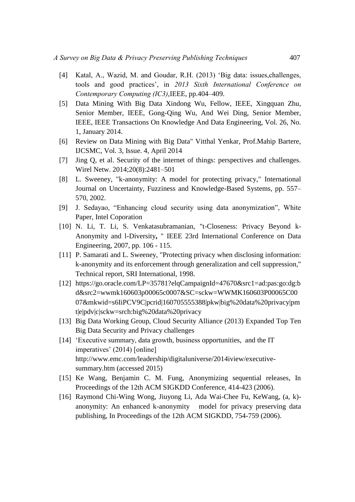- [4] Katal, A., Wazid, M. and Goudar, R.H. (2013) 'Big data: issues,challenges, tools and good practices', in *2013 Sixth International Conference on Contemporary Computing (IC3)*,IEEE, pp.404–409.
- [5] Data Mining With Big Data Xindong Wu, Fellow, IEEE, Xingquan Zhu, Senior Member, IEEE, Gong-Qing Wu, And Wei Ding, Senior Member, IEEE, IEEE Transactions On Knowledge And Data Engineering, Vol. 26, No. 1, January 2014.
- [6] Review on Data Mining with Big Data" Vitthal Yenkar, Prof.Mahip Bartere, IJCSMC, Vol. 3, Issue. 4, April 2014
- [7] Jing Q, et al. Security of the internet of things: perspectives and challenges. Wirel Netw. 2014;20(8):2481–501
- [8] L. Sweeney, "k-anonymity: A model for protecting privacy," International Journal on Uncertainty, Fuzziness and Knowledge-Based Systems, pp. 557– 570, 2002.
- [9] J. Sedayao, "Enhancing cloud security using data anonymization", White Paper, Intel Coporation
- [10] N. Li, T. Li, S. Venkatasubramanian, "t-Closeness: Privacy Beyond k-Anonymity and l-Diversity**,** " IEEE 23rd International Conference on Data Engineering, 2007, pp. 106 - 115.
- [11] P. Samarati and L. Sweeney, "Protecting privacy when disclosing information: k-anonymity and its enforcement through generalization and cell suppression," Technical report, SRI International, 1998.
- [12] https://go.oracle.com/LP=35781?elqCampaignId=47670&src1=ad:pas:go:dg:b d&src2=wwmk160603p00065c0007&SC=sckw=WWMK160603P00065C00 07&mkwid=s6IiPCV9C|pcrid|160705555388|pkw|big%20data%20privacy|pm t|e|pdv|c|sckw=srch:big%20data%20privacy
- [13] Big Data Working Group, Cloud Security Alliance (2013) Expanded Top Ten Big Data Security and Privacy challenges
- [14] 'Executive summary, data growth, business opportunities, and the IT imperatives' (2014) [online] http://www.emc.com/leadership/digitaluniverse/2014iview/executivesummary.htm (accessed 2015)
- [15] Ke Wang, Benjamin C. M. Fung, Anonymizing sequential releases, In Proceedings of the 12th ACM SIGKDD Conference, 414-423 (2006).
- [16] Raymond Chi-Wing Wong, Jiuyong Li, Ada Wai-Chee Fu, KeWang, (a, k) anonymity: An enhanced k-anonymity model for privacy preserving data publishing, In Proceedings of the 12th ACM SIGKDD, 754-759 (2006).